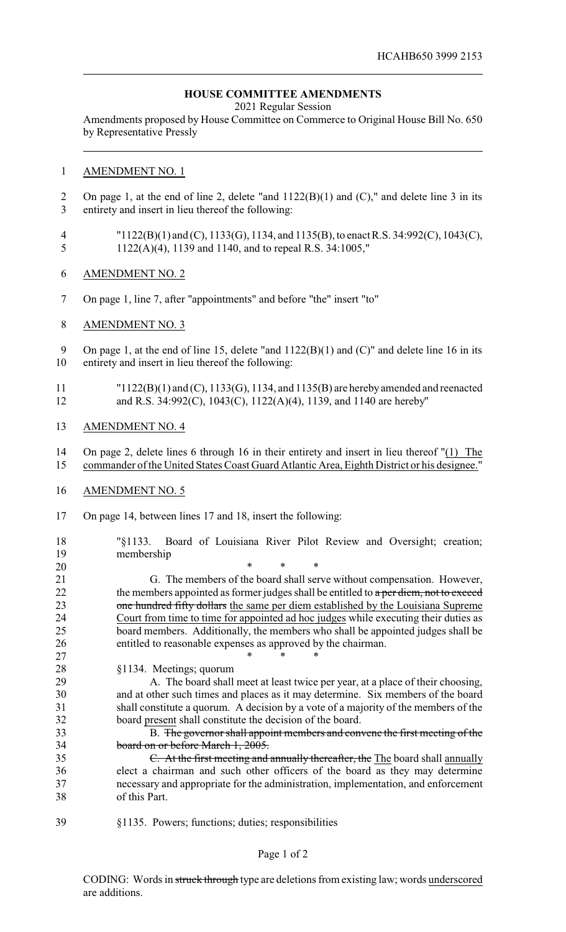## **HOUSE COMMITTEE AMENDMENTS**

2021 Regular Session

Amendments proposed by House Committee on Commerce to Original House Bill No. 650 by Representative Pressly

## AMENDMENT NO. 1

- On page 1, at the end of line 2, delete "and 1122(B)(1) and (C)," and delete line 3 in its entirety and insert in lieu thereof the following:
- "1122(B)(1) and (C), 1133(G), 1134, and 1135(B), to enact R.S. 34:992(C), 1043(C), 1122(A)(4), 1139 and 1140, and to repeal R.S. 34:1005,"
- AMENDMENT NO. 2
- On page 1, line 7, after "appointments" and before "the" insert "to"
- AMENDMENT NO. 3

9 On page 1, at the end of line 15, delete "and  $1122(B)(1)$  and  $(C)$ " and delete line 16 in its entirety and insert in lieu thereof the following:

- "1122(B)(1) and (C), 1133(G), 1134, and 1135(B) are herebyamended and reenacted and R.S. 34:992(C), 1043(C), 1122(A)(4), 1139, and 1140 are hereby"
- AMENDMENT NO. 4
- On page 2, delete lines 6 through 16 in their entirety and insert in lieu thereof "(1) The commander of the United States Coast Guard Atlantic Area, Eighth District or his designee."
- AMENDMENT NO. 5
- On page 14, between lines 17 and 18, insert the following:
- "§1133. Board of Louisiana River Pilot Review and Oversight; creation; membership

 \* \* \* G. The members of the board shall serve without compensation. However, 22 the members appointed as former judges shall be entitled to a per diem, not to exceed 23 one hundred fifty dollars the same per diem established by the Louisiana Supreme Court from time to time for appointed ad hoc judges while executing their duties as board members. Additionally, the members who shall be appointed judges shall be entitled to reasonable expenses as approved by the chairman.

 \* \* \* §1134. Meetings; quorum

 A. The board shall meet at least twice per year, at a place of their choosing, and at other such times and places as it may determine. Six members of the board shall constitute a quorum. A decision by a vote of a majority of the members of the board present shall constitute the decision of the board.

 B. The governor shall appoint members and convene the first meeting of the board on or before March 1, 2005.

- C. At the first meeting and annually thereafter, the The board shall annually elect a chairman and such other officers of the board as they may determine necessary and appropriate for the administration, implementation, and enforcement of this Part.
- §1135. Powers; functions; duties; responsibilities